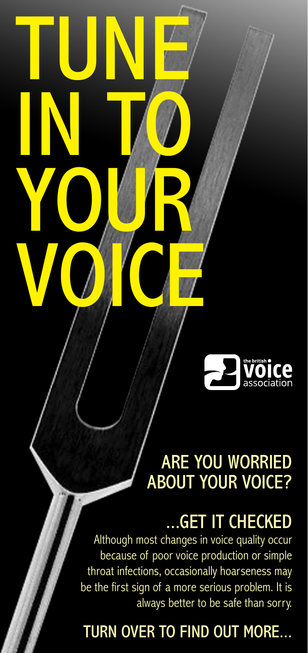

# ARE YOU WORRIED ABOUT YOUR VOICE?

# ...GET IT CHECKED

Although most changes in voice quality occur because of poor voice production or simple throat infections, occasionally hoarseness may be the first sign of a more serious problem. It is always better to be safe than sorry.

TUNE

IN TO

YOUR

VOICE

## TURN OVER TO FIND OUT MORE...